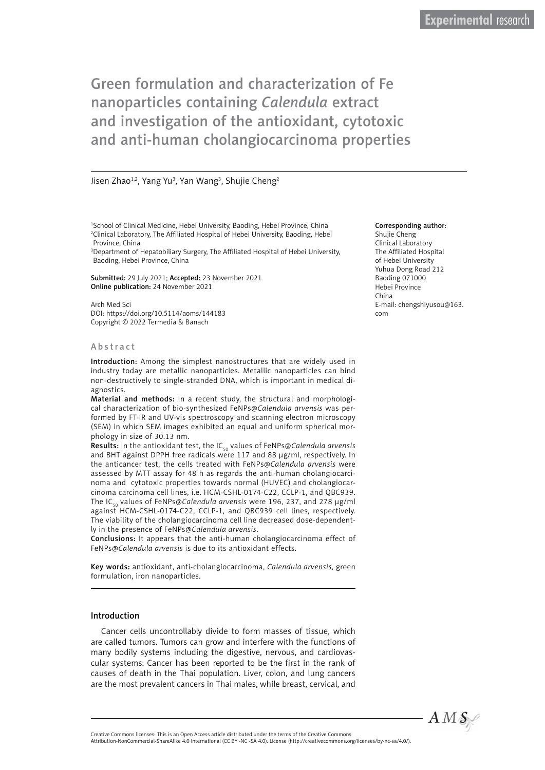# Green formulation and characterization of Fe nanoparticles containing *Calendula* extract and investigation of the antioxidant, cytotoxic and anti-human cholangiocarcinoma properties

#### Jisen Zhao<sup>1,2</sup>, Yang Yu<sup>3</sup>, Yan Wang<sup>3</sup>, Shujie Cheng<sup>2</sup>

<sup>1</sup>School of Clinical Medicine, Hebei University, Baoding, Hebei Province, China 2 Clinical Laboratory, The Affiliated Hospital of Hebei University, Baoding, Hebei Province, China

3 Department of Hepatobiliary Surgery, The Affiliated Hospital of Hebei University, Baoding, Hebei Province, China

Submitted: 29 July 2021; Accepted: 23 November 2021 Online publication: 24 November 2021

Arch Med Sci DOI: https://doi.org/10.5114/aoms/144183 Copyright © 2022 Termedia & Banach

#### A b s t r a c t

Introduction: Among the simplest nanostructures that are widely used in industry today are metallic nanoparticles. Metallic nanoparticles can bind non-destructively to single-stranded DNA, which is important in medical diagnostics.

Material and methods: In a recent study, the structural and morphological characterization of bio-synthesized FeNPs@*Calendula arvensis* was performed by FT-IR and UV-vis spectroscopy and scanning electron microscopy (SEM) in which SEM images exhibited an equal and uniform spherical morphology in size of 30.13 nm.

Results: In the antioxidant test, the IC<sub>50</sub> values of FeNPs@*Calendula arvensis* and BHT against DPPH free radicals were 117 and 88 µg/ml, respectively. In the anticancer test, the cells treated with FeNPs@*Calendula arvensis* were assessed by MTT assay for 48 h as regards the anti-human cholangiocarcinoma and cytotoxic properties towards normal (HUVEC) and cholangiocarcinoma carcinoma cell lines, i.e. HCM-CSHL-0174-C22, CCLP-1, and QBC939. The IC<sub>50</sub> values of FeNPs@*Calendula arvensis* were 196, 237, and 278 µg/ml against HCM-CSHL-0174-C22, CCLP-1, and QBC939 cell lines, respectively. The viability of the cholangiocarcinoma cell line decreased dose-dependently in the presence of FeNPs@*Calendula arvensis*.

Conclusions: It appears that the anti-human cholangiocarcinoma effect of FeNPs@*Calendula arvensis* is due to its antioxidant effects.

Key words: antioxidant, anti-cholangiocarcinoma, *Calendula arvensis*, green formulation, iron nanoparticles.

#### Introduction

Cancer cells uncontrollably divide to form masses of tissue, which are called tumors. Tumors can grow and interfere with the functions of many bodily systems including the digestive, nervous, and cardiovascular systems. Cancer has been reported to be the first in the rank of causes of death in the Thai population. Liver, colon, and lung cancers are the most prevalent cancers in Thai males, while breast, cervical, and

#### Corresponding author:

Shujie Cheng Clinical Laboratory The Affiliated Hospital of Hebei University Yuhua Dong Road 212 Baoding 071000 Hebei Province China E-mail: [chengshiyusou@163.](mailto:chengshiyusou@163.com) [com](mailto:chengshiyusou@163.com)



Attribution-NonCommercial-ShareAlike 4.0 International (CC BY -NC -SA 4.0). License (http://creativecommons.org/licenses/by-nc-sa/4.0/).

Creative Commons licenses: This is an Open Access article distributed under the terms of the Creative Commons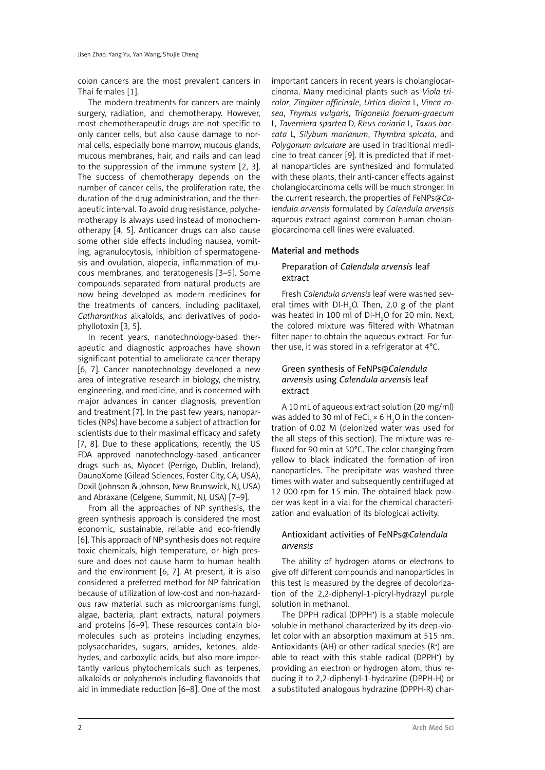colon cancers are the most prevalent cancers in Thai females [[1](https://www.intechopen.com/chapters/54518#B1)].

The modern treatments for cancers are mainly surgery, radiation, and chemotherapy. However, most chemotherapeutic drugs are not specific to only cancer cells, but also cause damage to normal cells, especially bone marrow, mucous glands, mucous membranes, hair, and nails and can lead to the suppression of the immune system [2, [3\]](https://www.intechopen.com/chapters/54518#B3). The success of chemotherapy depends on the number of cancer cells, the proliferation rate, the duration of the drug administration, and the therapeutic interval. To avoid drug resistance, polychemotherapy is always used instead of monochemotherapy [\[4, 5](https://www.intechopen.com/chapters/54518#B3)]. Anticancer drugs can also cause some other side effects including nausea, vomiting, agranulocytosis, inhibition of spermatogenesis and ovulation, alopecia, inflammation of mucous membranes, and teratogenesis [[3–](https://www.intechopen.com/chapters/54518#B3)5]. Some compounds separated from natural products are now being developed as modern medicines for the treatments of cancers, including paclitaxel, *Catharanthus* alkaloids, and derivatives of podophyllotoxin [3, 5].

In recent years, nanotechnology-based therapeutic and diagnostic approaches have shown significant potential to ameliorate cancer therapy [6, 7]. Cancer nanotechnology developed a new area of integrative research in biology, chemistry, engineering, and medicine, and is concerned with major advances in cancer diagnosis, prevention and treatment [7]. In the past few years, nanoparticles (NPs) have become a subject of attraction for scientists due to their maximal efficacy and safety [7, 8]. Due to these applications, recently, the US FDA approved nanotechnology-based anticancer drugs such as, Myocet (Perrigo, Dublin, Ireland), DaunoXome (Gilead Sciences, Foster City, CA, USA), Doxil (Johnson & Johnson, New Brunswick, NJ, USA) and Abraxane (Celgene, Summit, NJ, USA) [7–9].

From all the approaches of NP synthesis, the green synthesis approach is considered the most economic, sustainable, reliable and eco-friendly [6]. This approach of NP synthesis does not require toxic chemicals, high temperature, or high pressure and does not cause harm to human health and the environment [6, 7]. At present, it is also considered a preferred method for NP fabrication because of utilization of low-cost and non-hazardous raw material such as microorganisms fungi, algae, bacteria, plant extracts, natural polymers and proteins [6–9]. These resources contain biomolecules such as proteins including enzymes, polysaccharides, sugars, amides, ketones, aldehydes, and carboxylic acids, but also more importantly various phytochemicals such as terpenes, alkaloids or polyphenols including flavonoids that aid in immediate reduction [6–8]. One of the most important cancers in recent years is cholangiocarcinoma. Many medicinal plants such as *Viola tricolor*, *Zingiber officinale*, *Urtica dioica* L, *Vinca rosea*, *Thymus vulgaris*, *Trigonella foenum-graecum*  L, *Taverniera spartea* D, *Rhus coriaria* L*, Taxus baccata* L, *Silybum marianum*, *Thymbra spicata*, and *Polygonum aviculare* are used in traditional medicine to treat cancer [9]. It is predicted that if metal nanoparticles are synthesized and formulated with these plants, their anti-cancer effects against cholangiocarcinoma cells will be much stronger. In the current research, the properties of FeNPs@*Calendula arvensis* formulated by *Calendula arvensis* aqueous extract against common human cholangiocarcinoma cell lines were evaluated.

## Material and methods

# Preparation of *Calendula arvensis* leaf extract

Fresh *Calendula arvensis* leaf were washed several times with DI-H<sub>2</sub>O. Then, 2.0 g of the plant was heated in 100 ml of DI-H $_{2}$ O for 20 min. Next, the colored mixture was filtered with Whatman filter paper to obtain the aqueous extract. For further use, it was stored in a refrigerator at 4°C.

# Green synthesis of FeNPs@*Calendula arvensis* using *Calendula arvensis* leaf extract

A 10 mL of aqueous extract solution (20 mg/ml) was added to 30 ml of FeCl $_3\times$  6 H $_2$ O in the concentration of 0.02 M (deionized water was used for the all steps of this section). The mixture was refluxed for 90 min at 50°C. The color changing from yellow to black indicated the formation of iron nanoparticles. The precipitate was washed three times with water and subsequently centrifuged at 12 000 rpm for 15 min. The obtained black powder was kept in a vial for the chemical characterization and evaluation of its biological activity.

# Antioxidant activities of FeNPs@*Calendula arvensis*

The ability of hydrogen atoms or electrons to give off different compounds and nanoparticles in this test is measured by the degree of decolorization of the 2,2-diphenyl-1-picryl-hydrazyl purple solution in methanol.

The DPPH radical (DPPH• ) is a stable molecule soluble in methanol characterized by its deep-violet color with an absorption maximum at 515 nm. Antioxidants (AH) or other radical species (R• ) are able to react with this stable radical (DPPH• ) by providing an electron or hydrogen atom, thus reducing it to 2,2-diphenyl-1-hydrazine (DPPH-H) or a substituted analogous hydrazine (DPPH-R) char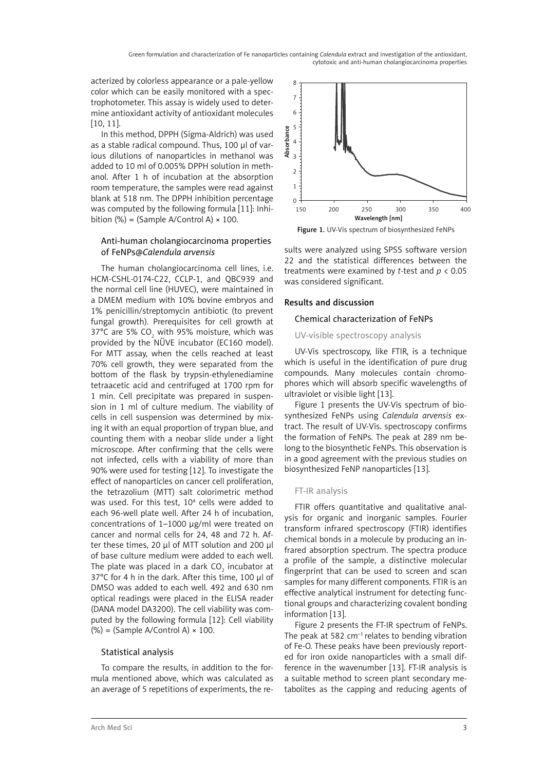acterized by colorless appearance or a pale-yellow color which can be easily monitored with a spectrophotometer. This assay is widely used to determine antioxidant activity of antioxidant molecules [10, 11].

In this method, DPPH (Sigma-Aldrich) was used as a stable radical compound. Thus, 100 µl of various dilutions of nanoparticles in methanol was added to 10 ml of 0.005% DPPH solution in methanol. After 1 h of incubation at the absorption room temperature, the samples were read against blank at 518 nm. The DPPH inhibition percentage was computed by the following formula [11]: Inhibition  $(\%)$  = (Sample A/Control A)  $\times$  100.

# Anti-human cholangiocarcinoma properties of FeNPs@*Calendula arvensis*

The human cholangiocarcinoma cell lines, i.e. HCM-CSHL-0174-C22, CCLP-1, and QBC939 and the normal cell line (HUVEC), were maintained in a DMEM medium with 10% bovine embryos and 1% penicillin/streptomycin antibiotic (to prevent fungal growth). Prerequisites for cell growth at 37°C are 5% CO<sub>2</sub> with 95% moisture, which was provided by the NÜVE incubator (EC160 model). For MTT assay, when the cells reached at least 70% cell growth, they were separated from the bottom of the flask by trypsin-ethylenediamine tetraacetic acid and centrifuged at 1700 rpm for 1 min. Cell precipitate was prepared in suspension in 1 ml of culture medium. The viability of cells in cell suspension was determined by mixing it with an equal proportion of trypan blue, and counting them with a neobar slide under a light microscope. After confirming that the cells were not infected, cells with a viability of more than 90% were used for testing [12]. To investigate the effect of nanoparticles on cancer cell proliferation, the tetrazolium (MTT) salt colorimetric method was used. For this test, 10<sup>4</sup> cells were added to each 96-well plate well. After 24 h of incubation, concentrations of 1–1000 µg/ml were treated on cancer and normal cells for 24, 48 and 72 h. After these times, 20 µl of MTT solution and 200 µl of base culture medium were added to each well. The plate was placed in a dark CO $_{_2}$  incubator at 37°C for 4 h in the dark. After this time, 100 µl of DMSO was added to each well. 492 and 630 nm optical readings were placed in the ELISA reader (DANA model DA3200). The cell viability was computed by the following formula [12]: Cell viability  $(\%)$  = (Sample A/Control A)  $\times$  100.

# Statistical analysis

To compare the results, in addition to the formula mentioned above, which was calculated as an average of 5 repetitions of experiments, the re-



Figure 1. UV-Vis spectrum of biosynthesized FeNPs

sults were analyzed using SPSS software version 22 and the statistical differences between the treatments were examined by *t*-test and *p* < 0.05 was considered significant.

# Results and discussion

## Chemical characterization of FeNPs

## UV-visible spectroscopy analysis

UV-Vis spectroscopy, like FTIR, is a technique which is useful in the identification of pure drug compounds. Many molecules contain chromophores which will absorb specific wavelengths of ultraviolet or visible light [13].

Figure 1 presents the UV-Vis spectrum of biosynthesized FeNPs using *Calendula arvensis* extract. The result of UV-Vis. spectroscopy confirms the formation of FeNPs. The peak at 289 nm belong to the biosynthetic FeNPs. This observation is in a good agreement with the previous studies on biosynthesized FeNP nanoparticles [13].

## FT-IR analysis

FTIR offers quantitative and qualitative analysis for organic and inorganic samples. Fourier transform infrared spectroscopy (FTIR) identifies chemical bonds in a molecule by producing an infrared absorption spectrum. The spectra produce a profile of the sample, a distinctive molecular fingerprint that can be used to screen and scan samples for many different components. FTIR is an effective analytical instrument for detecting functional groups and characterizing covalent bonding information [13].

Figure 2 presents the FT-IR spectrum of FeNPs. The peak at 582  $cm^{-1}$  relates to bending vibration of Fe-O. These peaks have been previously reported for iron oxide nanoparticles with a small difference in the wavenumber [13]. FT-IR analysis is a suitable method to screen plant secondary metabolites as the capping and reducing agents of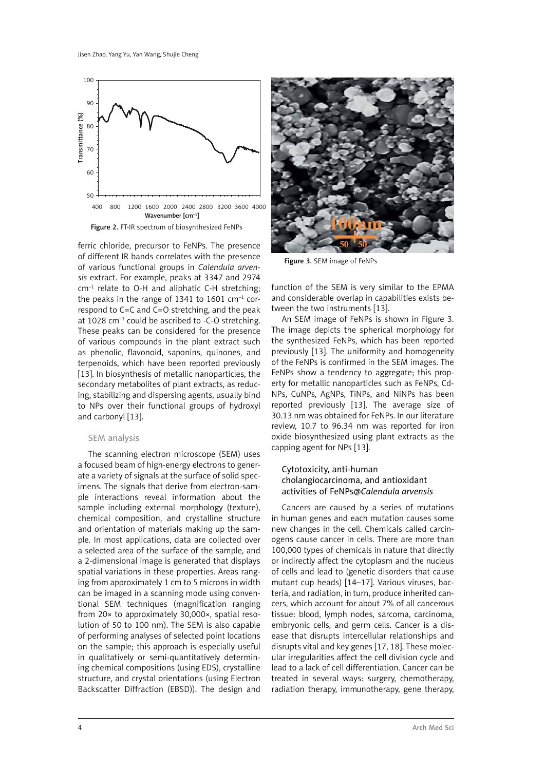

ferric chloride, precursor to FeNPs. The presence of different IR bands correlates with the presence of various functional groups in *Calendula arvensis* extract. For example, peaks at 3347 and 2974  $cm^{-1}$  relate to O-H and aliphatic C-H stretching; the peaks in the range of 1341 to 1601  $cm^{-1}$  correspond to C=C and C=O stretching, and the peak at 1028  $cm^{-1}$  could be ascribed to -C-O stretching. These peaks can be considered for the presence of various compounds in the plant extract such as phenolic, flavonoid, saponins, quinones, and terpenoids, which have been reported previously [13]. In biosynthesis of metallic nanoparticles, the secondary metabolites of plant extracts, as reducing, stabilizing and dispersing agents, usually bind to NPs over their functional groups of hydroxyl and carbonyl [13].

#### SEM analysis

The scanning electron microscope (SEM) uses a focused beam of high-energy electrons to generate a variety of signals at the surface of solid specimens. The signals that derive from electron-sample interactions reveal information about the sample including external morphology (texture), chemical composition, and crystalline structure and orientation of materials making up the sample. In most applications, data are collected over a selected area of the surface of the sample, and a 2-dimensional image is generated that displays spatial variations in these properties. Areas ranging from approximately 1 cm to 5 microns in width can be imaged in a scanning mode using conventional SEM techniques (magnification ranging from 20× to approximately 30,000×, spatial resolution of 50 to 100 nm). The SEM is also capable of performing analyses of selected point locations on the sample; this approach is especially useful in qualitatively or semi-quantitatively determining chemical compositions (using EDS), crystalline structure, and crystal orientations (using Electron Backscatter Diffraction (EBSD)). The design and



Figure 3. SEM image of FeNPs

function of the SEM is very similar to the EPMA and considerable overlap in capabilities exists between the two instruments [13].

An SEM image of FeNPs is shown in Figure 3. The image depicts the spherical morphology for the synthesized FeNPs, which has been reported previously [13]. The uniformity and homogeneity of the FeNPs is confirmed in the SEM images. The FeNPs show a tendency to aggregate; this property for metallic nanoparticles such as FeNPs, Cd-NPs, CuNPs, AgNPs, TiNPs, and NiNPs has been reported previously [13]. The average size of 30.13 nm was obtained for FeNPs. In our literature review, 10.7 to 96.34 nm was reported for iron oxide biosynthesized using plant extracts as the capping agent for NPs [13].

# Cytotoxicity, anti-human cholangiocarcinoma, and antioxidant activities of FeNPs@*Calendula arvensis*

Cancers are caused by a series of mutations in human genes and each mutation causes some new changes in the cell. Chemicals called carcinogens cause cancer in cells. There are more than 100,000 types of chemicals in nature that directly or indirectly affect the cytoplasm and the nucleus of cells and lead to (genetic disorders that cause mutant cup heads) [14–17]. Various viruses, bacteria, and radiation, in turn, produce inherited cancers, which account for about 7% of all cancerous tissue: blood, lymph nodes, sarcoma, carcinoma, embryonic cells, and germ cells. Cancer is a disease that disrupts intercellular relationships and disrupts vital and key genes [17, 18]. These molecular irregularities affect the cell division cycle and lead to a lack of cell differentiation. Cancer can be treated in several ways: surgery, chemotherapy, radiation therapy, immunotherapy, gene therapy,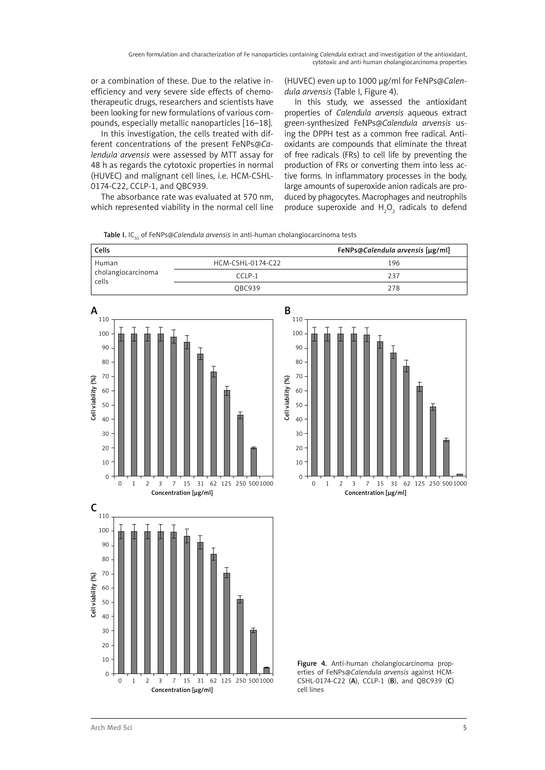Green formulation and characterization of Fe nanoparticles containing *Calendula* extract and investigation of the antioxidant, cytotoxic and anti-human cholangiocarcinoma properties

or a combination of these. Due to the relative inefficiency and very severe side effects of chemotherapeutic drugs, researchers and scientists have been looking for new formulations of various compounds, especially metallic nanoparticles [16–18].

In this investigation, the cells treated with different concentrations of the present FeNPs@*Calendula arvensis* were assessed by MTT assay for 48 h as regards the cytotoxic properties in normal (HUVEC) and malignant cell lines, i.e. HCM-CSHL-0174-C22, CCLP-1, and QBC939.

The absorbance rate was evaluated at 570 nm, which represented viability in the normal cell line

(HUVEC) even up to 1000 µg/ml for FeNPs@*Calendula arvensis* (Table I, Figure 4).

In this study, we assessed the antioxidant properties of *Calendula arvensis* aqueous extract green-synthesized FeNPs@*Calendula arvensis* using the DPPH test as a common free radical. Antioxidants are compounds that eliminate the threat of free radicals (FRs) to cell life by preventing the production of FRs or converting them into less active forms. In inflammatory processes in the body, large amounts of superoxide anion radicals are produced by phagocytes. Macrophages and neutrophils produce superoxide and  $H_2O_2$  radicals to defend

Table I. IC<sub>50</sub> of FeNPs@*Calendula arvensis* in anti-human cholangiocarcinoma tests

| Cells                                |                   | FeNPs@Calendula arvensis [µg/ml] |
|--------------------------------------|-------------------|----------------------------------|
| Human<br>cholangiocarcinoma<br>cells | HCM-CSHL-0174-C22 | 196                              |
|                                      | $C \cap P-1$      | 237                              |
|                                      | <b>OBC939</b>     | 278                              |
|                                      |                   |                                  |







Figure 4. Anti-human cholangiocarcinoma properties of FeNPs@*Calendula arvensis* against HCM-CSHL-0174-C22 (A), CCLP-1 (B), and QBC939 (C) cell lines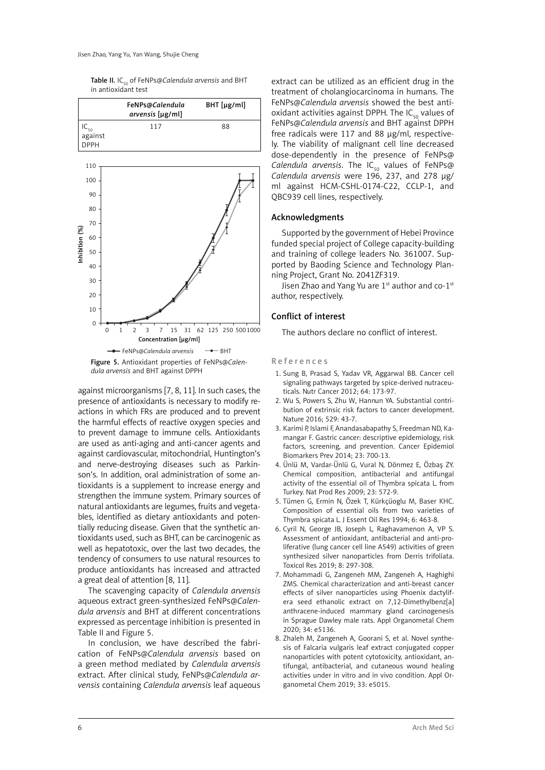Table II. IC<sub>50</sub> of FeNPs@*Calendula arvensis* and BHT in antioxidant test



against microorganisms [7, 8, 11]. In such cases, the presence of antioxidants is necessary to modify reactions in which FRs are produced and to prevent the harmful effects of reactive oxygen species and to prevent damage to immune cells. Antioxidants are used as anti-aging and anti-cancer agents and against cardiovascular, mitochondrial, Huntington's and nerve-destroying diseases such as Parkinson's. In addition, oral administration of some antioxidants is a supplement to increase energy and strengthen the immune system. Primary sources of natural antioxidants are legumes, fruits and vegetables, identified as dietary antioxidants and potentially reducing disease. Given that the synthetic antioxidants used, such as BHT, can be carcinogenic as well as hepatotoxic, over the last two decades, the tendency of consumers to use natural resources to produce antioxidants has increased and attracted a great deal of attention [8, 11].

The scavenging capacity of *Calendula arvensis*  aqueous extract green-synthesized FeNPs@*Calendula arvensis* and BHT at different concentrations expressed as percentage inhibition is presented in Table II and Figure 5.

In conclusion, we have described the fabrication of FeNPs@*Calendula arvensis* based on a green method mediated by *Calendula arvensis* extract. After clinical study, FeNPs@*Calendula arvensis* containing *Calendula arvensis* leaf aqueous extract can be utilized as an efficient drug in the treatment of cholangiocarcinoma in humans. The FeNPs@*Calendula arvensis* showed the best antioxidant activities against DPPH. The  $IC_{50}$  values of FeNPs@*Calendula arvensis* and BHT against DPPH free radicals were 117 and 88 µg/ml, respectively. The viability of malignant cell line decreased dose-dependently in the presence of FeNPs@ *Calendula arvensis*. The IC<sub>50</sub> values of FeNPs@ *Calendula arvensis* were 196, 237, and 278 µg/ ml against HCM-CSHL-0174-C22, CCLP-1, and QBC939 cell lines, respectively.

#### Acknowledgments

Supported by the government of Hebei Province funded special project of College capacity-building and training of college leaders No. 361007. Supported by Baoding Science and Technology Planning Project, Grant No. 2041ZF319.

Jisen Zhao and Yang Yu are  $1^{st}$  author and co- $1^{st}$ author, respectively.

# Conflict of interest

The authors declare no conflict of interest.

#### R e f e r e n c e s

- 1. Sung B, Prasad S, Yadav VR, Aggarwal BB. Cancer cell signaling pathways targeted by spice-derived nutraceuticals. Nutr Cancer 2012; 64: 173-97.
- 2. Wu S, Powers S, Zhu W, Hannun YA. Substantial contribution of extrinsic risk factors to cancer development. Nature 2016; 529: 43-7.
- 3. Karimi P, Islami F, Anandasabapathy S, Freedman ND, Kamangar F. Gastric cancer: descriptive epidemiology, risk factors, screening, and prevention. Cancer Epidemiol Biomarkers Prev 2014; 23: 700-13.
- 4. Ünlü M, Vardar-Ünlü G, Vural N, Dönmez E, Özbaş ZY. Chemical composition, antibacterial and antifungal activity of the essential oil of Thymbra spicata L. from Turkey. Nat Prod Res 2009; 23: 572-9.
- 5. Tümen G, Ermin N, Özek T, Kürkçüoglu M, Baser KHC. Composition of essential oils from two varieties of Thymbra spicata L. J Essent Oil Res 1994; 6: 463-8.
- 6. Cyril N, George JB, Joseph L, Raghavamenon A, VP S. Assessment of antioxidant, antibacterial and anti-proliferative (lung cancer cell line A549) activities of green synthesized silver nanoparticles from Derris trifoliata. Toxicol Res 2019; 8: 297-308.
- 7. Mohammadi G, Zangeneh MM, Zangeneh A, Haghighi ZMS. Chemical characterization and anti-breast cancer effects of silver nanoparticles using Phoenix dactylifera seed ethanolic extract on 7,12-Dimethylbenz[a] anthracene-induced mammary gland carcinogenesis in Sprague Dawley male rats. Appl Organometal Chem 2020; 34: e5136.
- 8. Zhaleh M, Zangeneh A, Goorani S, et al. Novel synthesis of Falcaria vulgaris leaf extract conjugated copper nanoparticles with potent cytotoxicity, antioxidant, antifungal, antibacterial, and cutaneous wound healing activities under in vitro and in vivo condition. Appl Organometal Chem 2019; 33: e5015.